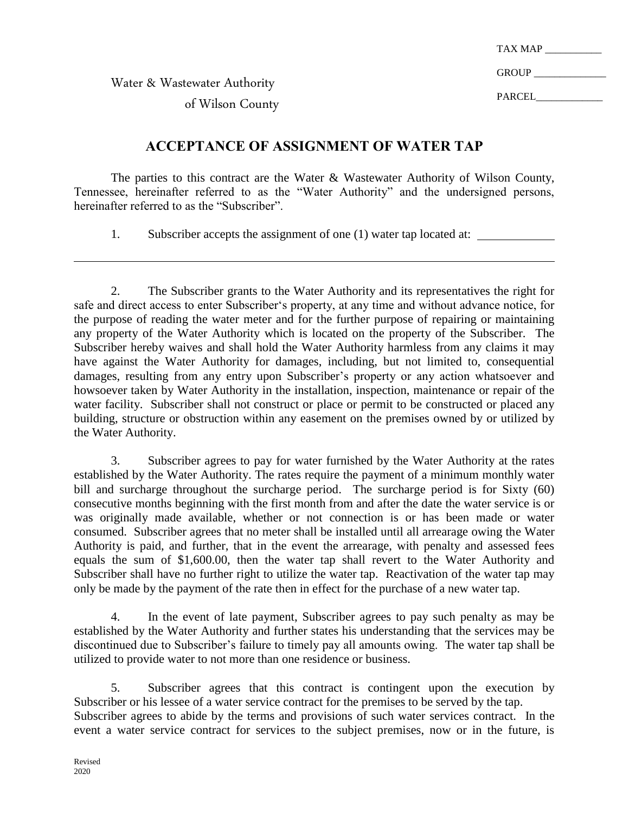TAX MAP

GROUP **EXAMPLE** 

PARCEL

Water & Wastewater Authority

of Wilson County

## **ACCEPTANCE OF ASSIGNMENT OF WATER TAP**

The parties to this contract are the Water & Wastewater Authority of Wilson County, Tennessee, hereinafter referred to as the "Water Authority" and the undersigned persons, hereinafter referred to as the "Subscriber".

1. Subscriber accepts the assignment of one (1) water tap located at:

2. The Subscriber grants to the Water Authority and its representatives the right for safe and direct access to enter Subscriber's property, at any time and without advance notice, for the purpose of reading the water meter and for the further purpose of repairing or maintaining any property of the Water Authority which is located on the property of the Subscriber. The Subscriber hereby waives and shall hold the Water Authority harmless from any claims it may have against the Water Authority for damages, including, but not limited to, consequential damages, resulting from any entry upon Subscriber's property or any action whatsoever and howsoever taken by Water Authority in the installation, inspection, maintenance or repair of the water facility. Subscriber shall not construct or place or permit to be constructed or placed any building, structure or obstruction within any easement on the premises owned by or utilized by the Water Authority.

3. Subscriber agrees to pay for water furnished by the Water Authority at the rates established by the Water Authority. The rates require the payment of a minimum monthly water bill and surcharge throughout the surcharge period. The surcharge period is for Sixty (60) consecutive months beginning with the first month from and after the date the water service is or was originally made available, whether or not connection is or has been made or water consumed. Subscriber agrees that no meter shall be installed until all arrearage owing the Water Authority is paid, and further, that in the event the arrearage, with penalty and assessed fees equals the sum of \$1,600.00, then the water tap shall revert to the Water Authority and Subscriber shall have no further right to utilize the water tap. Reactivation of the water tap may only be made by the payment of the rate then in effect for the purchase of a new water tap.

4. In the event of late payment, Subscriber agrees to pay such penalty as may be established by the Water Authority and further states his understanding that the services may be discontinued due to Subscriber's failure to timely pay all amounts owing. The water tap shall be utilized to provide water to not more than one residence or business.

5. Subscriber agrees that this contract is contingent upon the execution by Subscriber or his lessee of a water service contract for the premises to be served by the tap. Subscriber agrees to abide by the terms and provisions of such water services contract. In the event a water service contract for services to the subject premises, now or in the future, is